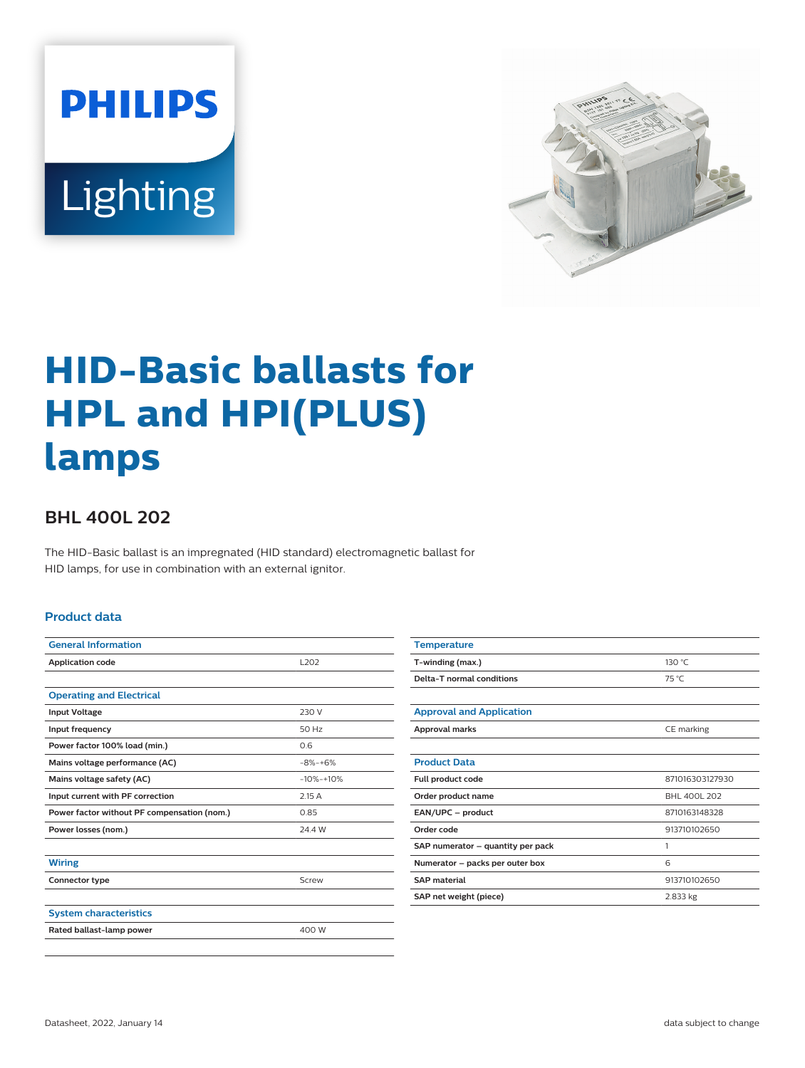



# **HID-Basic ballasts for HPL and HPI(PLUS) lamps**

## **BHL 400L 202**

The HID-Basic ballast is an impregnated (HID standard) electromagnetic ballast for HID lamps, for use in combination with an external ignitor.

#### **Product data**

| <b>General Information</b>                  |                  |  |  |
|---------------------------------------------|------------------|--|--|
| <b>Application code</b>                     | L <sub>202</sub> |  |  |
|                                             |                  |  |  |
| <b>Operating and Electrical</b>             |                  |  |  |
| <b>Input Voltage</b>                        | 230 V            |  |  |
| Input frequency                             | 50 Hz            |  |  |
| Power factor 100% load (min.)               | 0.6              |  |  |
| Mains voltage performance (AC)              | $-8% -+6%$       |  |  |
| Mains voltage safety (AC)                   | $-10% -10%$      |  |  |
| Input current with PF correction            | 2.15A            |  |  |
| Power factor without PF compensation (nom.) | 0.85             |  |  |
| Power losses (nom.)                         | 24.4 W           |  |  |
|                                             |                  |  |  |
| <b>Wiring</b>                               |                  |  |  |
| Connector type                              | Screw            |  |  |
|                                             |                  |  |  |
| <b>System characteristics</b>               |                  |  |  |
| Rated ballast-lamp power                    | 400 W            |  |  |
|                                             |                  |  |  |

| <b>Temperature</b>                |                 |  |  |
|-----------------------------------|-----------------|--|--|
| T-winding (max.)                  | 130 °C          |  |  |
| Delta-T normal conditions         | 75 °C           |  |  |
|                                   |                 |  |  |
| <b>Approval and Application</b>   |                 |  |  |
| Approval marks                    | CE marking      |  |  |
|                                   |                 |  |  |
| <b>Product Data</b>               |                 |  |  |
| Full product code                 | 871016303127930 |  |  |
| Order product name                | BHL 400L 202    |  |  |
| EAN/UPC - product                 | 8710163148328   |  |  |
| Order code                        | 913710102650    |  |  |
| SAP numerator – quantity per pack | 1               |  |  |
| Numerator - packs per outer box   | 6               |  |  |
| <b>SAP</b> material               | 913710102650    |  |  |
| SAP net weight (piece)            | 2.833 kg        |  |  |
|                                   |                 |  |  |